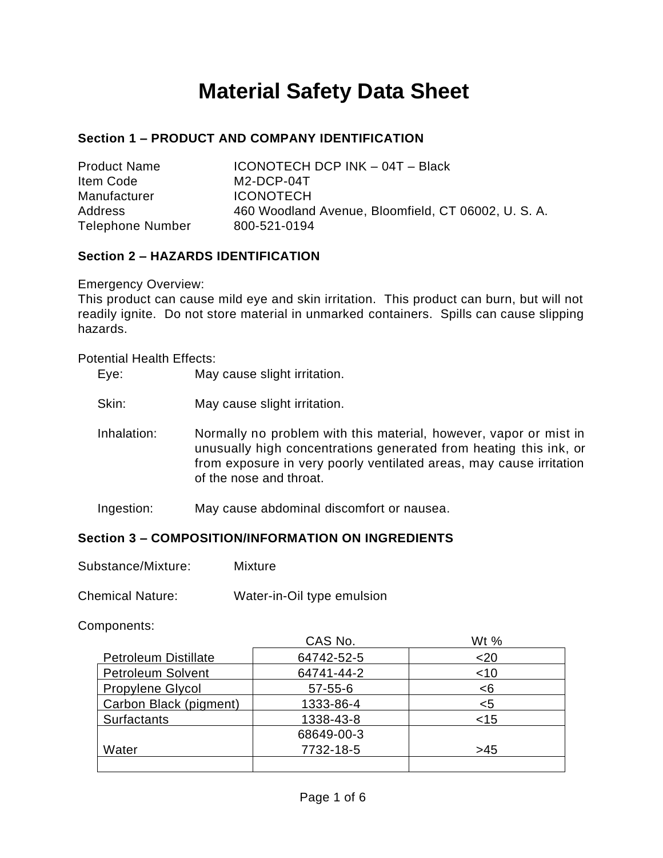# **Material Safety Data Sheet**

# **Section 1 – PRODUCT AND COMPANY IDENTIFICATION**

| <b>Product Name</b>     | ICONOTECH DCP INK - 04T - Black                   |
|-------------------------|---------------------------------------------------|
| Item Code               | $M2-DCP-04T$                                      |
| Manufacturer            | <b>ICONOTECH</b>                                  |
| <b>Address</b>          | 460 Woodland Avenue, Bloomfield, CT 06002, U.S.A. |
| <b>Telephone Number</b> | 800-521-0194                                      |

# **Section 2 – HAZARDS IDENTIFICATION**

Emergency Overview:

This product can cause mild eye and skin irritation. This product can burn, but will not readily ignite. Do not store material in unmarked containers. Spills can cause slipping hazards.

Potential Health Effects:

| Eye: | May cause slight irritation. |
|------|------------------------------|
|------|------------------------------|

- Skin: May cause slight irritation.
- Inhalation: Normally no problem with this material, however, vapor or mist in unusually high concentrations generated from heating this ink, or from exposure in very poorly ventilated areas, may cause irritation of the nose and throat.

Ingestion: May cause abdominal discomfort or nausea.

#### **Section 3 – COMPOSITION/INFORMATION ON INGREDIENTS**

| Substance/Mixture: | Mixture |
|--------------------|---------|
|--------------------|---------|

Chemical Nature: Water-in-Oil type emulsion

#### Components:

|                             | CAS No.       | Wt %   |
|-----------------------------|---------------|--------|
| <b>Petroleum Distillate</b> | 64742-52-5    | $20$   |
| <b>Petroleum Solvent</b>    | 64741-44-2    | $<$ 10 |
| Propylene Glycol            | $57 - 55 - 6$ | <6     |
| Carbon Black (pigment)      | 1333-86-4     | $<$ 5  |
| <b>Surfactants</b>          | 1338-43-8     | $<$ 15 |
|                             | 68649-00-3    |        |
| Water                       | 7732-18-5     | >45    |
|                             |               |        |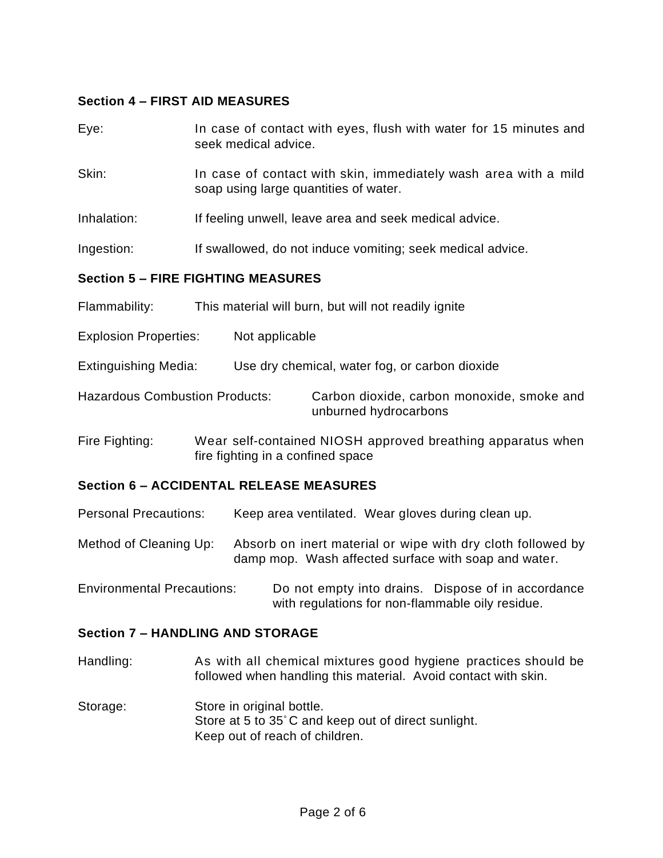## **Section 4 – FIRST AID MEASURES**

| Eye:                                           | In case of contact with eyes, flush with water for 15 minutes and<br>seek medical advice.                |  |  |
|------------------------------------------------|----------------------------------------------------------------------------------------------------------|--|--|
| Skin:                                          | In case of contact with skin, immediately wash area with a mild<br>soap using large quantities of water. |  |  |
| Inhalation:                                    | If feeling unwell, leave area and seek medical advice.                                                   |  |  |
| Ingestion:                                     | If swallowed, do not induce vomiting; seek medical advice.                                               |  |  |
|                                                | <b>Section 5 - FIRE FIGHTING MEASURES</b>                                                                |  |  |
| Flammability:                                  | This material will burn, but will not readily ignite                                                     |  |  |
| <b>Explosion Properties:</b>                   | Not applicable                                                                                           |  |  |
| <b>Extinguishing Media:</b>                    | Use dry chemical, water fog, or carbon dioxide                                                           |  |  |
| <b>Hazardous Combustion Products:</b>          | Carbon dioxide, carbon monoxide, smoke and<br>unburned hydrocarbons                                      |  |  |
| Fire Fighting:                                 | Wear self-contained NIOSH approved breathing apparatus when<br>fire fighting in a confined space         |  |  |
| <b>Section 6 - ACCIDENTAL RELEASE MEASURES</b> |                                                                                                          |  |  |

Personal Precautions: Keep area ventilated. Wear gloves during clean up.

Method of Cleaning Up: Absorb on inert material or wipe with dry cloth followed by damp mop. Wash affected surface with soap and water.

Environmental Precautions: Do not empty into drains. Dispose of in accordance with regulations for non-flammable oily residue.

#### **Section 7 – HANDLING AND STORAGE**

Handling: As with all chemical mixtures good hygiene practices should be followed when handling this material. Avoid contact with skin.

Storage: Store in original bottle. Store at 5 to 35° C and keep out of direct sunlight. Keep out of reach of children.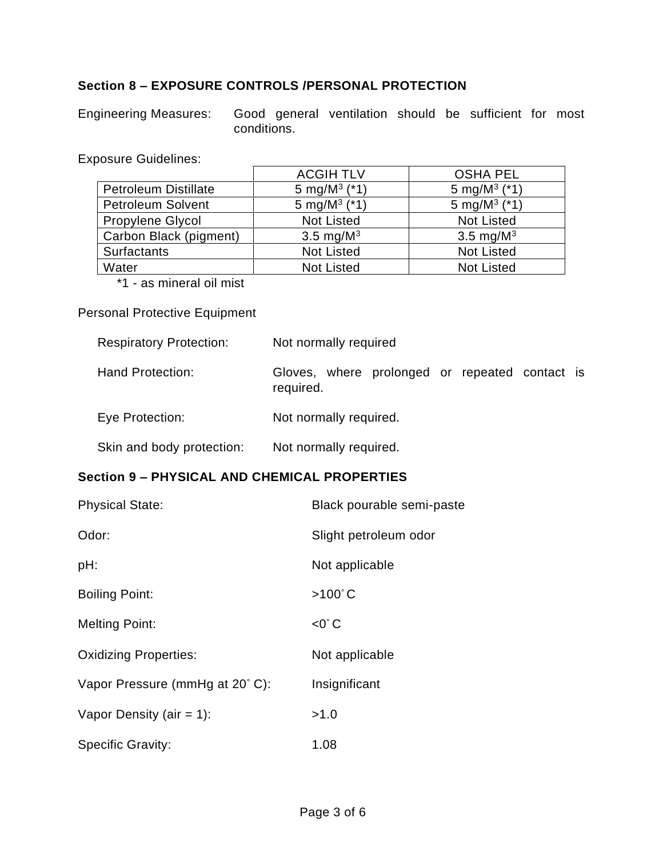# **Section 8 – EXPOSURE CONTROLS /PERSONAL PROTECTION**

Engineering Measures: Good general ventilation should be sufficient for most conditions.

<u> 1980 - Johann John Stein, marwolaeth a bhann an t-Amhainn an t-Amhainn an t-Amhainn an t-Amhainn an t-Amhain</u>

Exposure Guidelines:

|                             | <b>ACGIH TLV</b>           | <b>OSHA PEL</b>            |
|-----------------------------|----------------------------|----------------------------|
| <b>Petroleum Distillate</b> | 5 mg/M <sup>3</sup> $(*1)$ | 5 mg/M <sup>3</sup> $(*1)$ |
| <b>Petroleum Solvent</b>    | 5 mg/M <sup>3</sup> $(*1)$ | 5 mg/M $3$ (*1)            |
| <b>Propylene Glycol</b>     | <b>Not Listed</b>          | <b>Not Listed</b>          |
| Carbon Black (pigment)      | 3.5 mg/ $M^3$              | 3.5 mg/ $M^3$              |
| <b>Surfactants</b>          | <b>Not Listed</b>          | <b>Not Listed</b>          |
| Water                       | <b>Not Listed</b>          | <b>Not Listed</b>          |

\*1 - as mineral oil mist

#### Personal Protective Equipment

| <b>Respiratory Protection:</b> | Not normally required                                       |  |  |
|--------------------------------|-------------------------------------------------------------|--|--|
| <b>Hand Protection:</b>        | Gloves, where prolonged or repeated contact is<br>required. |  |  |
| Eye Protection:                | Not normally required.                                      |  |  |
| Skin and body protection:      | Not normally required.                                      |  |  |

#### **Section 9 – PHYSICAL AND CHEMICAL PROPERTIES**

| <b>Physical State:</b>         | Black pourable semi-paste |
|--------------------------------|---------------------------|
| Odor:                          | Slight petroleum odor     |
| pH:                            | Not applicable            |
| <b>Boiling Point:</b>          | $>100^{\circ}$ C          |
| <b>Melting Point:</b>          | $<$ 0 $^{\circ}$ C        |
| <b>Oxidizing Properties:</b>   | Not applicable            |
| Vapor Pressure (mmHg at 20°C): | Insignificant             |
| Vapor Density (air = 1):       | >1.0                      |
| <b>Specific Gravity:</b>       | 1.08                      |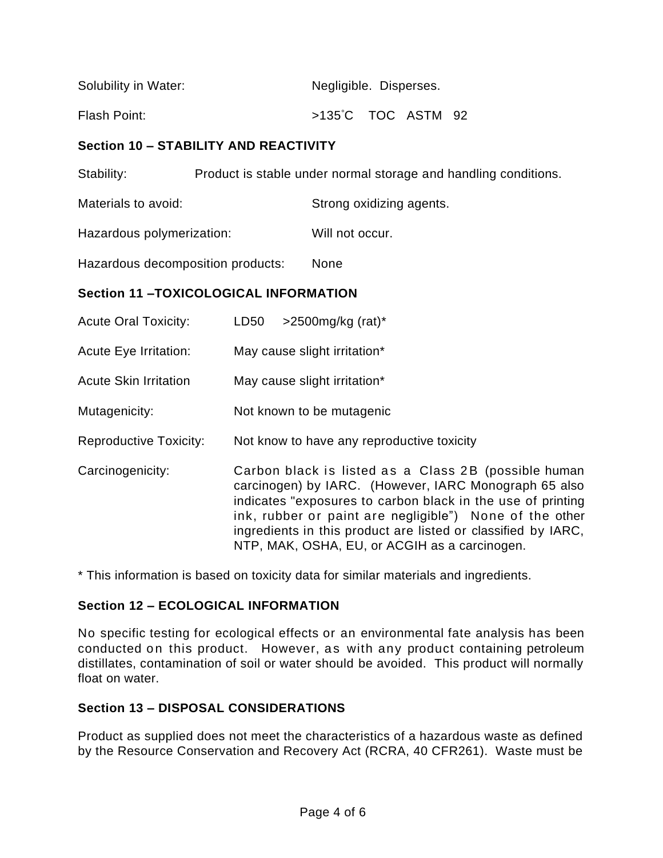| Solubility in Water: | Negligible. Disperses.       |  |  |  |  |
|----------------------|------------------------------|--|--|--|--|
| Flash Point:         | $>135^{\circ}$ C TOC ASTM 92 |  |  |  |  |

# **Section 10 – STABILITY AND REACTIVITY**

Stability: Product is stable under normal storage and handling conditions.

Materials to avoid: Strong oxidizing agents.

Hazardous polymerization: Will not occur.

Hazardous decomposition products: None

## **Section 11 –TOXICOLOGICAL INFORMATION**

| <b>Acute Oral Toxicity:</b>   | $>$ 2500mg/kg (rat)*<br>LD <sub>50</sub>                                                                                                                                                                                                                                                                                                                  |
|-------------------------------|-----------------------------------------------------------------------------------------------------------------------------------------------------------------------------------------------------------------------------------------------------------------------------------------------------------------------------------------------------------|
| <b>Acute Eye Irritation:</b>  | May cause slight irritation*                                                                                                                                                                                                                                                                                                                              |
| <b>Acute Skin Irritation</b>  | May cause slight irritation*                                                                                                                                                                                                                                                                                                                              |
| Mutagenicity:                 | Not known to be mutagenic                                                                                                                                                                                                                                                                                                                                 |
| <b>Reproductive Toxicity:</b> | Not know to have any reproductive toxicity                                                                                                                                                                                                                                                                                                                |
| Carcinogenicity:              | Carbon black is listed as a Class 2B (possible human<br>carcinogen) by IARC. (However, IARC Monograph 65 also<br>indicates "exposures to carbon black in the use of printing<br>ink, rubber or paint are negligible") None of the other<br>ingredients in this product are listed or classified by IARC,<br>NTP, MAK, OSHA, EU, or ACGIH as a carcinogen. |

\* This information is based on toxicity data for similar materials and ingredients.

# **Section 12 – ECOLOGICAL INFORMATION**

No specific testing for ecological effects or an environmental fate analysis has been conducted on this product. However, as with any product containing petroleum distillates, contamination of soil or water should be avoided. This product will normally float on water.

# **Section 13 – DISPOSAL CONSIDERATIONS**

Product as supplied does not meet the characteristics of a hazardous waste as defined by the Resource Conservation and Recovery Act (RCRA, 40 CFR261). Waste must be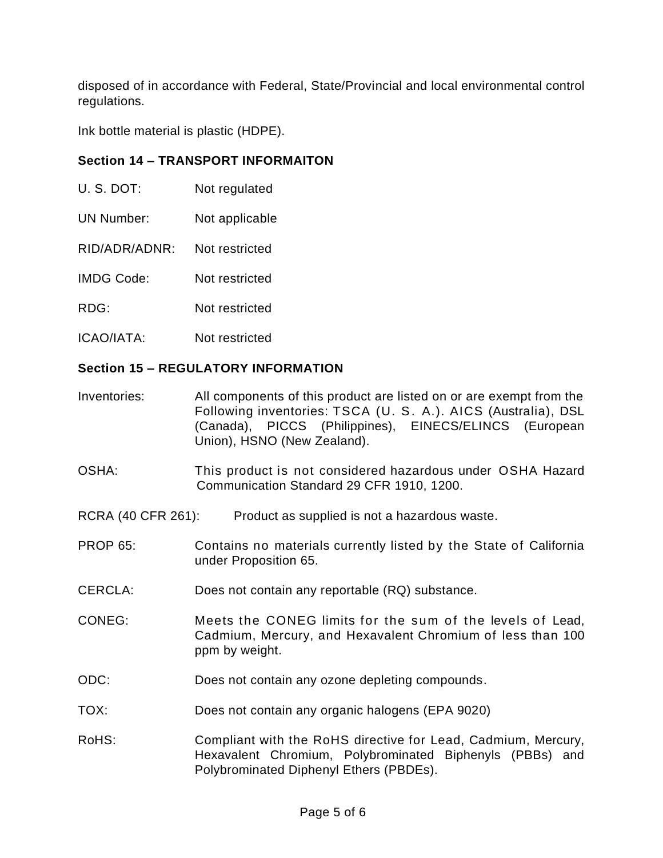disposed of in accordance with Federal, State/Provincial and local environmental control regulations.

Ink bottle material is plastic (HDPE).

## **Section 14 – TRANSPORT INFORMAITON**

- U. S. DOT: Not regulated
- UN Number: Not applicable
- RID/ADR/ADNR: Not restricted
- IMDG Code: Not restricted
- RDG: Not restricted
- ICAO/IATA: Not restricted

#### **Section 15 – REGULATORY INFORMATION**

- Inventories: All components of this product are listed on or are exempt from the Following inventories: TSCA (U. S. A.). AICS (Australia), DSL (Canada), PICCS (Philippines), EINECS/ELINCS (European Union), HSNO (New Zealand).
- OSHA: This product is not considered hazardous under OSHA Hazard Communication Standard 29 CFR 1910, 1200.
- RCRA (40 CFR 261): Product as supplied is not a hazardous waste.
- PROP 65: Contains no materials currently listed by the State of California under Proposition 65.
- CERCLA: Does not contain any reportable (RQ) substance.
- CONEG: Meets the CONEG limits for the sum of the levels of Lead. Cadmium, Mercury, and Hexavalent Chromium of less than 100 ppm by weight.
- ODC: Does not contain any ozone depleting compounds.
- TOX: Does not contain any organic halogens (EPA 9020)
- RoHS: Compliant with the RoHS directive for Lead, Cadmium, Mercury, Hexavalent Chromium, Polybrominated Biphenyls (PBBs) and Polybrominated Diphenyl Ethers (PBDEs).